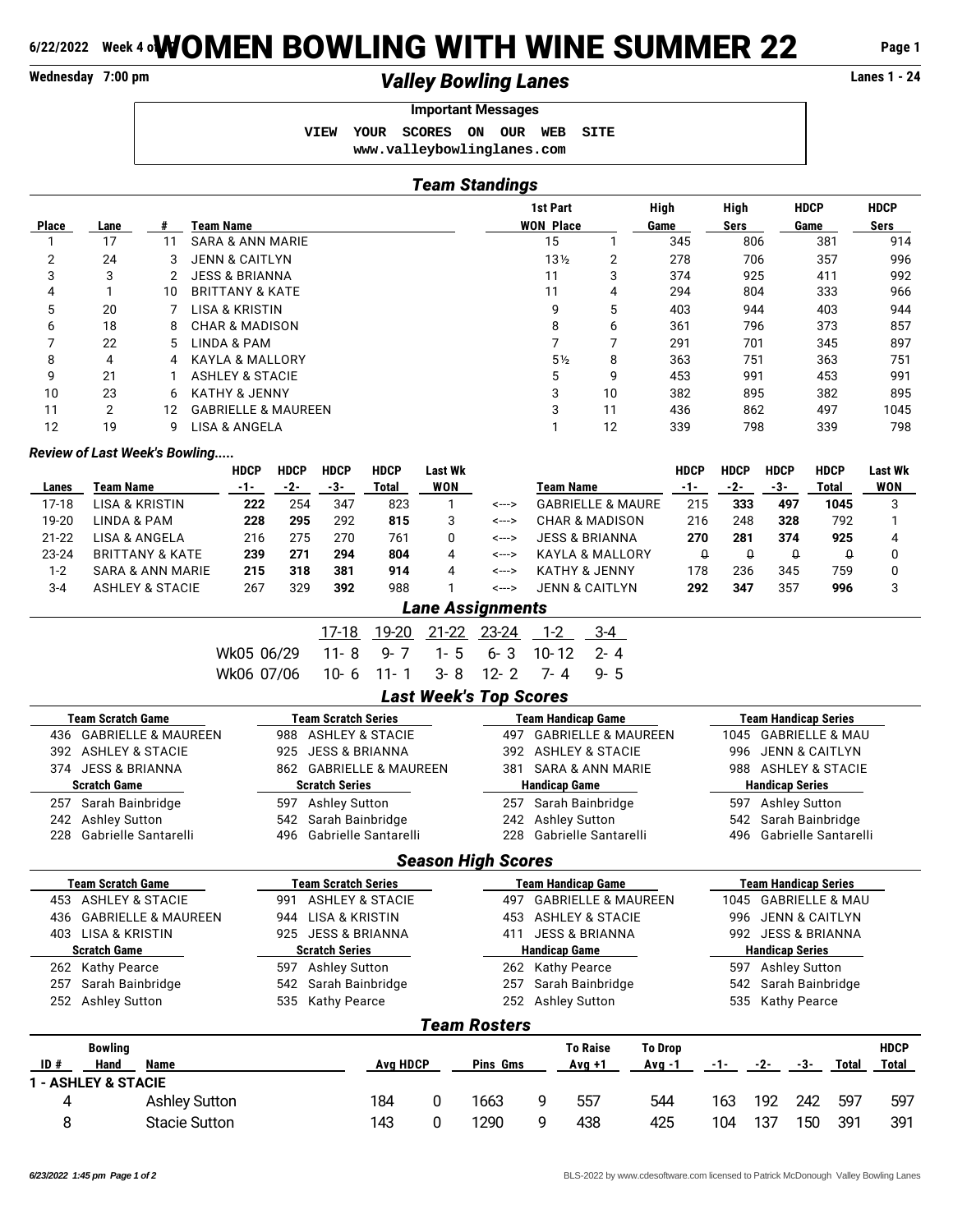# **6/22/2022 Week 4 oWOMEN BOWLING WITH WINE SUMMER 22** Page 1<br>Walley Bowling Lanes

# **Valley Bowling Lanes Lanes Lanes Lanes Lanes Lanes Lanes Lanes Lanes Lanes Lanes Lanes Lanes Lanes Lanes Lanes Lanes Lanes Lanes Lanes Lanes Lanes Lanes Lanes Lanes Lanes**

## **Important Messages**

 **VIEW YOUR SCORES ON OUR WEB SITE <www.valleybowlinglanes.com>**

## *Team Standings*

|              |      |    |                                | 1st Part         |    | High | High        | <b>HDCP</b> | <b>HDCP</b> |
|--------------|------|----|--------------------------------|------------------|----|------|-------------|-------------|-------------|
| <b>Place</b> | Lane | #  | <b>Team Name</b>               | <b>WON Place</b> |    | Game | <b>Sers</b> | Game        | Sers        |
|              | 17   | 11 | SARA & ANN MARIE               | 15               |    | 345  | 806         | 381         | 914         |
| 2            | 24   |    | <b>JENN &amp; CAITLYN</b>      | 13 <sub>2</sub>  | 2  | 278  | 706         | 357         | 996         |
| 3            | 3    |    | <b>JESS &amp; BRIANNA</b>      | 11               | 3  | 374  | 925         | 411         | 992         |
| 4            |      | 10 | <b>BRITTANY &amp; KATE</b>     | 11               | 4  | 294  | 804         | 333         | 966         |
| 5            | 20   |    | LISA & KRISTIN                 | 9                | 5  | 403  | 944         | 403         | 944         |
| 6            | 18   | 8  | <b>CHAR &amp; MADISON</b>      | 8                | 6  | 361  | 796         | 373         | 857         |
|              | 22   | 5. | <b>LINDA &amp; PAM</b>         |                  |    | 291  | 701         | 345         | 897         |
| 8            | 4    | 4  | KAYLA & MALLORY                | $5\frac{1}{2}$   | 8  | 363  | 751         | 363         | 751         |
| 9            | 21   |    | <b>ASHLEY &amp; STACIE</b>     | 5                | 9  | 453  | 991         | 453         | 991         |
| 10           | 23   | 6  | <b>KATHY &amp; JENNY</b>       | 3                | 10 | 382  | 895         | 382         | 895         |
| 11           | 2    | 12 | <b>GABRIELLE &amp; MAUREEN</b> | 3                | 11 | 436  | 862         | 497         | 1045        |
| 12           | 19   | g  | LISA & ANGELA                  |                  | 12 | 339  | 798         | 339         | 798         |

### *Review of Last Week's Bowling.....*

|           |                             | HDCP | <b>HDCP</b> | <b>HDCP</b> | <b>HDCP</b> | Last Wk |       |                              | HDCP | <b>HDCP</b> | <b>HDCP</b> | <b>HDCP</b> | Last Wk |
|-----------|-----------------------------|------|-------------|-------------|-------------|---------|-------|------------------------------|------|-------------|-------------|-------------|---------|
| Lanes     | Team Name                   | -1-  | -2-         | -3-         | Total       | WON     |       | Team Name                    |      | -2-         | -3-         | Total       | WON     |
| 17-18     | LISA & KRISTIN              | 222  | 254         | 347         | 823         |         | <---> | <b>GABRIELLE &amp; MAURE</b> | 215  | 333         | 497         | 1045        |         |
| 19-20     | LINDA & PAM                 | 228  | 295         | 292         | 815         |         | <---> | <b>CHAR &amp; MADISON</b>    | 216  | 248         | 328         | 792         |         |
| $21 - 22$ | LISA & ANGELA               | 216  | 275         | 270         | 761         |         | <---> | <b>JESS &amp; BRIANNA</b>    | 270  | 281         | 374         | 925         |         |
| $23 - 24$ | <b>BRITTANY &amp; KATE</b>  | 239  | 271         | 294         | 804         | 4       | <---> | KAYLA & MALLORY              |      |             |             |             |         |
| $1 - 2$   | <b>SARA &amp; ANN MARIE</b> | 215  | 318         | 381         | 914         |         | <---> | <b>KATHY &amp; JENNY</b>     | 178  | 236         | 345         | 759         |         |
| $3 - 4$   | <b>ASHLEY &amp; STACIE</b>  | 267  | 329         | 392         | 988         |         | <---> | JENN & CAITLYN               | 292  | 347         | 357         | 996         |         |

| <b>Lane Assignments</b> |  |
|-------------------------|--|
|                         |  |

|                                       |  |  |  |  | 17-18 19-20 21-22 23-24 1-2 3-4 |  |  |  |  |  |  |
|---------------------------------------|--|--|--|--|---------------------------------|--|--|--|--|--|--|
| Wk05 06/29 11-8 9-7 1-5 6-3 10-12 2-4 |  |  |  |  |                                 |  |  |  |  |  |  |
| Wk06 07/06 10-6 11-1 3-8 12-2 7-4 9-5 |  |  |  |  |                                 |  |  |  |  |  |  |
| Last Week's Ton Scores                |  |  |  |  |                                 |  |  |  |  |  |  |

|                                |                                | FASI ILEEVS I AN APALES                                      |                             |  |  |
|--------------------------------|--------------------------------|--------------------------------------------------------------|-----------------------------|--|--|
| Team Scratch Game              | Team Scratch Series            | Team Handicap Game                                           | <b>Team Handicap Series</b> |  |  |
| <b>GABRIELLE &amp; MAUREEN</b> | <b>ASHLEY &amp; STACIE</b>     | <b>GABRIELLE &amp; MAUREEN</b>                               | 1045 GABRIELLE & MAU        |  |  |
| 436                            | 988                            | 497                                                          |                             |  |  |
| <b>ASHLEY &amp; STACIE</b>     | <b>JESS &amp; BRIANNA</b>      | <b>ASHLEY &amp; STACIE</b>                                   | <b>JENN &amp; CAITLYN</b>   |  |  |
| 392                            | 925                            | 392                                                          | 996                         |  |  |
| <b>JESS &amp; BRIANNA</b>      | <b>GABRIELLE &amp; MAUREEN</b> | <b>SARA &amp; ANN MARIE</b>                                  | <b>ASHLEY &amp; STACIE</b>  |  |  |
| 374                            | 862                            | 381                                                          | 988                         |  |  |
| <b>Scratch Game</b>            | <b>Scratch Series</b>          | <b>Handicap Game</b>                                         | <b>Handicap Series</b>      |  |  |
| Sarah Bainbridge               | <b>Ashley Sutton</b>           | Sarah Bainbridge                                             | <b>Ashley Sutton</b>        |  |  |
| 257                            | 597                            | 257                                                          | 597                         |  |  |
| <b>Ashley Sutton</b>           | Sarah Bainbridge               | Ashley Sutton                                                | Sarah Bainbridge            |  |  |
| 242                            | 542                            | 242                                                          | 542                         |  |  |
| Gabrielle Santarelli           | Gabrielle Santarelli           | Gabrielle Santarelli                                         | Gabrielle Santarelli        |  |  |
| 228                            | 496                            | 228                                                          | 496                         |  |  |
|                                |                                | <b>Season High Scores</b>                                    |                             |  |  |
| Team Scratch Game              | <b>Team Scratch Series</b>     | Team Handicap Game                                           | <b>Team Handicap Series</b> |  |  |
| <b>ASHLEY &amp; STACIE</b>     | ASHLEY & STACIE                | <b>GABRIELLE &amp; MAUREEN</b>                               | 1045 GABRIELLE & MAU        |  |  |
| 453                            | 991                            | 497                                                          |                             |  |  |
| <b>GABRIELLE &amp; MAUREEN</b> | <b>LISA &amp; KRISTIN</b>      | <b>ASHLEY &amp; STACIE</b>                                   | JENN & CAITLYN              |  |  |
| 436                            | 944                            | 453                                                          | 996                         |  |  |
| <b>LISA &amp; KRISTIN</b>      | <b>JESS &amp; BRIANNA</b>      | <b>JESS &amp; BRIANNA</b>                                    | <b>JESS &amp; BRIANNA</b>   |  |  |
| 403                            | 925                            | 411                                                          | 992                         |  |  |
| <b>Scratch Game</b>            | <b>Scratch Series</b>          | Handicap Game                                                | <b>Handicap Series</b>      |  |  |
| Kathy Pearce                   | <b>Ashley Sutton</b>           | Kathy Pearce                                                 | <b>Ashley Sutton</b>        |  |  |
| 262                            | 597                            | 262                                                          | 597                         |  |  |
| Sarah Bainbridge               | Sarah Bainbridge               | Sarah Bainbridge                                             | Sarah Bainbridge            |  |  |
| 257                            | 542                            | 257                                                          | 542                         |  |  |
| <b>Ashley Sutton</b>           | Kathy Pearce                   | <b>Ashley Sutton</b>                                         | <b>Kathy Pearce</b>         |  |  |
| 252                            | 535                            | 252                                                          | 535                         |  |  |
|                                |                                | <b>Team Rosters</b>                                          |                             |  |  |
| $1.11$                         |                                | $\mathbf{r}$ . $\mathbf{r}$ . $\mathbf{r}$<br><b>T. Bush</b> | 11000                       |  |  |

| ID# | <b>Bowling</b><br>Hand         | <b>Name</b>          | <b>Ava HDCP</b> |   | Pins Gms | <b>To Raise</b><br>Avg +1 | To Drop<br>Avg -1 | -1- |     | -3- | <b>Total</b> | <b>HDCP</b><br>Total |
|-----|--------------------------------|----------------------|-----------------|---|----------|---------------------------|-------------------|-----|-----|-----|--------------|----------------------|
|     | <b>1 - ASHLEY &amp; STACIE</b> |                      |                 |   |          |                           |                   |     |     |     |              |                      |
| 4   |                                | <b>Ashley Sutton</b> | 184             |   | 1663     | 557                       | 544               | 163 | 192 | 242 | 597          | 597                  |
| я   |                                | <b>Stacie Sutton</b> | 143             | n | 1290     | 438                       | 425               | 104 | 137 | 150 | 391          | 391                  |